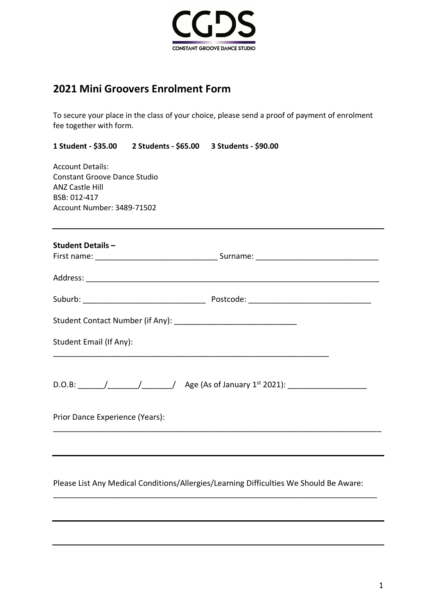

# **2021 Mini Groovers Enrolment Form**

To secure your place in the class of your choice, please send a proof of payment of enrolment fee together with form.

**1 Student - \$35.00 2 Students - \$65.00 3 Students - \$90.00** 

Account Details: Constant Groove Dance Studio ANZ Castle Hill BSB: 012-417 Account Number: 3489-71502

| Student Email (If Any):         |                                                                                         |  |  |
|---------------------------------|-----------------------------------------------------------------------------------------|--|--|
|                                 | D.O.B: ______/_____________________/ Age (As of January 1st 2021): ____________________ |  |  |
| Prior Dance Experience (Years): |                                                                                         |  |  |
|                                 |                                                                                         |  |  |

Please List Any Medical Conditions/Allergies/Learning Difficulties We Should Be Aware:

\_\_\_\_\_\_\_\_\_\_\_\_\_\_\_\_\_\_\_\_\_\_\_\_\_\_\_\_\_\_\_\_\_\_\_\_\_\_\_\_\_\_\_\_\_\_\_\_\_\_\_\_\_\_\_\_\_\_\_\_\_\_\_\_\_\_\_\_\_\_\_\_\_\_